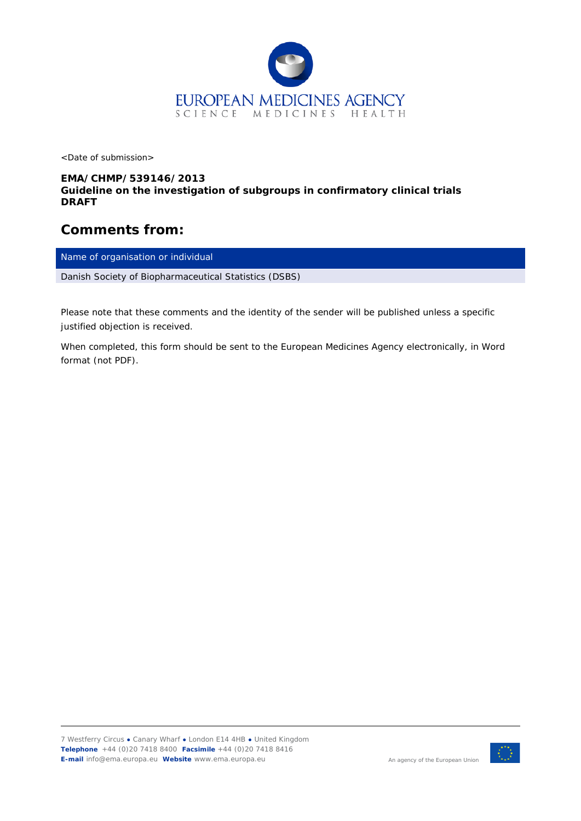

<Date of submission>

## *EMA/CHMP/539146/2013 Guideline on the investigation of subgroups in confirmatory clinical trials DRAFT*

## **Comments from:**

Name of organisation or individual

*Danish Society of Biopharmaceutical Statistics (DSBS)*

*Please note that these comments and the identity of the sender will be published unless a specific justified objection is received.*

*When completed, this form should be sent to the European Medicines Agency electronically, in Word format (not PDF).*

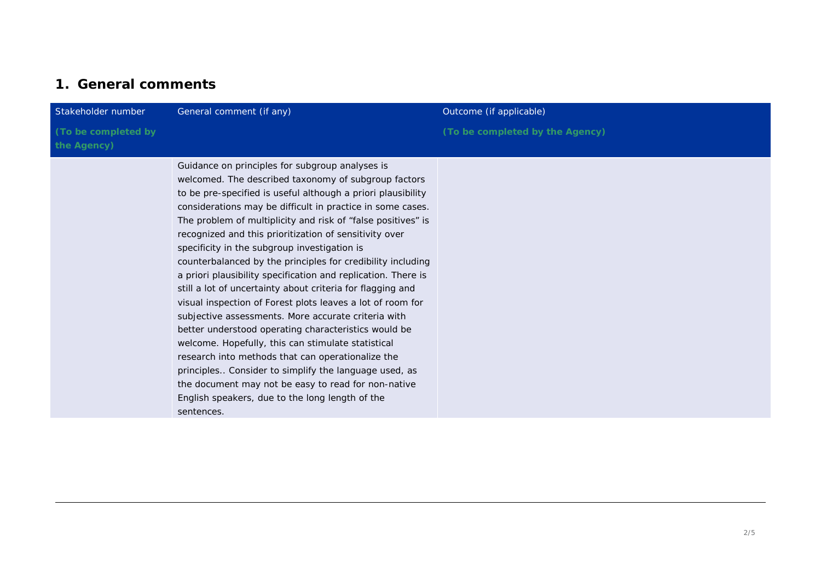## **1. General comments**

| Stakeholder number                 | General comment (if any)                                                                                                                                                                                                                                                                                                                                                                                                                                                                                                                                                                                                                                                                                                                                                                                                                                                                                                                                                                                                                                                               | Outcome (if applicable)         |
|------------------------------------|----------------------------------------------------------------------------------------------------------------------------------------------------------------------------------------------------------------------------------------------------------------------------------------------------------------------------------------------------------------------------------------------------------------------------------------------------------------------------------------------------------------------------------------------------------------------------------------------------------------------------------------------------------------------------------------------------------------------------------------------------------------------------------------------------------------------------------------------------------------------------------------------------------------------------------------------------------------------------------------------------------------------------------------------------------------------------------------|---------------------------------|
| (To be completed by<br>the Agency) |                                                                                                                                                                                                                                                                                                                                                                                                                                                                                                                                                                                                                                                                                                                                                                                                                                                                                                                                                                                                                                                                                        | (To be completed by the Agency) |
|                                    | Guidance on principles for subgroup analyses is<br>welcomed. The described taxonomy of subgroup factors<br>to be pre-specified is useful although a priori plausibility<br>considerations may be difficult in practice in some cases.<br>The problem of multiplicity and risk of "false positives" is<br>recognized and this prioritization of sensitivity over<br>specificity in the subgroup investigation is<br>counterbalanced by the principles for credibility including<br>a priori plausibility specification and replication. There is<br>still a lot of uncertainty about criteria for flagging and<br>visual inspection of Forest plots leaves a lot of room for<br>subjective assessments. More accurate criteria with<br>better understood operating characteristics would be<br>welcome. Hopefully, this can stimulate statistical<br>research into methods that can operationalize the<br>principles Consider to simplify the language used, as<br>the document may not be easy to read for non-native<br>English speakers, due to the long length of the<br>sentences. |                                 |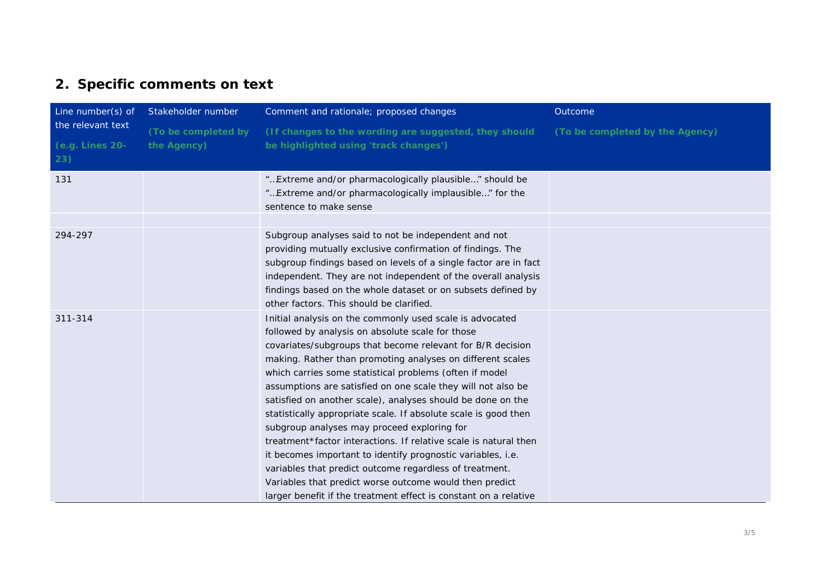## **2. Specific comments on text**

| Line number(s) of                           | Stakeholder number                 | Comment and rationale; proposed changes                                                                                                                                                                                                                                                                                                                                                                                                                                                                                                                                                                                                                                                                                                                                                                                                                                           | Outcome                         |
|---------------------------------------------|------------------------------------|-----------------------------------------------------------------------------------------------------------------------------------------------------------------------------------------------------------------------------------------------------------------------------------------------------------------------------------------------------------------------------------------------------------------------------------------------------------------------------------------------------------------------------------------------------------------------------------------------------------------------------------------------------------------------------------------------------------------------------------------------------------------------------------------------------------------------------------------------------------------------------------|---------------------------------|
| the relevant text<br>(e.g. Lines 20-<br>23) | (To be completed by<br>the Agency) | (If changes to the wording are suggested, they should<br>be highlighted using 'track changes')                                                                                                                                                                                                                                                                                                                                                                                                                                                                                                                                                                                                                                                                                                                                                                                    | (To be completed by the Agency) |
| 131                                         |                                    | " Extreme and/or pharmacologically plausible" should be<br>" Extreme and/or pharmacologically implausible" for the<br>sentence to make sense                                                                                                                                                                                                                                                                                                                                                                                                                                                                                                                                                                                                                                                                                                                                      |                                 |
| 294-297                                     |                                    | Subgroup analyses said to not be independent and not<br>providing mutually exclusive confirmation of findings. The<br>subgroup findings based on levels of a single factor are in fact<br>independent. They are not independent of the overall analysis<br>findings based on the whole dataset or on subsets defined by<br>other factors. This should be clarified.                                                                                                                                                                                                                                                                                                                                                                                                                                                                                                               |                                 |
| 311-314                                     |                                    | Initial analysis on the commonly used scale is advocated<br>followed by analysis on absolute scale for those<br>covariates/subgroups that become relevant for B/R decision<br>making. Rather than promoting analyses on different scales<br>which carries some statistical problems (often if model<br>assumptions are satisfied on one scale they will not also be<br>satisfied on another scale), analyses should be done on the<br>statistically appropriate scale. If absolute scale is good then<br>subgroup analyses may proceed exploring for<br>treatment*factor interactions. If relative scale is natural then<br>it becomes important to identify prognostic variables, i.e.<br>variables that predict outcome regardless of treatment.<br>Variables that predict worse outcome would then predict<br>larger benefit if the treatment effect is constant on a relative |                                 |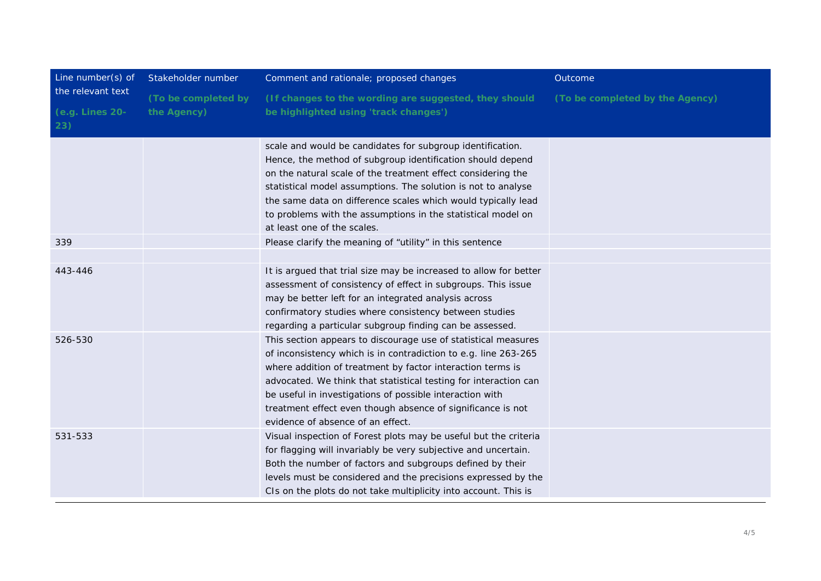| Line number(s) of                           | Stakeholder number                 | Comment and rationale; proposed changes                                                                                                                                                                                                                                                                                                                                                                                             | Outcome                         |
|---------------------------------------------|------------------------------------|-------------------------------------------------------------------------------------------------------------------------------------------------------------------------------------------------------------------------------------------------------------------------------------------------------------------------------------------------------------------------------------------------------------------------------------|---------------------------------|
| the relevant text<br>(e.g. Lines 20-<br>23) | (To be completed by<br>the Agency) | (If changes to the wording are suggested, they should<br>be highlighted using 'track changes')                                                                                                                                                                                                                                                                                                                                      | (To be completed by the Agency) |
|                                             |                                    | scale and would be candidates for subgroup identification.<br>Hence, the method of subgroup identification should depend<br>on the natural scale of the treatment effect considering the<br>statistical model assumptions. The solution is not to analyse<br>the same data on difference scales which would typically lead<br>to problems with the assumptions in the statistical model on<br>at least one of the scales.           |                                 |
| 339                                         |                                    | Please clarify the meaning of "utility" in this sentence                                                                                                                                                                                                                                                                                                                                                                            |                                 |
| 443-446                                     |                                    | It is argued that trial size may be increased to allow for better<br>assessment of consistency of effect in subgroups. This issue<br>may be better left for an integrated analysis across<br>confirmatory studies where consistency between studies<br>regarding a particular subgroup finding can be assessed.                                                                                                                     |                                 |
| 526-530                                     |                                    | This section appears to discourage use of statistical measures<br>of inconsistency which is in contradiction to e.g. line 263-265<br>where addition of treatment by factor interaction terms is<br>advocated. We think that statistical testing for interaction can<br>be useful in investigations of possible interaction with<br>treatment effect even though absence of significance is not<br>evidence of absence of an effect. |                                 |
| 531-533                                     |                                    | Visual inspection of Forest plots may be useful but the criteria<br>for flagging will invariably be very subjective and uncertain.<br>Both the number of factors and subgroups defined by their<br>levels must be considered and the precisions expressed by the<br>CIs on the plots do not take multiplicity into account. This is                                                                                                 |                                 |